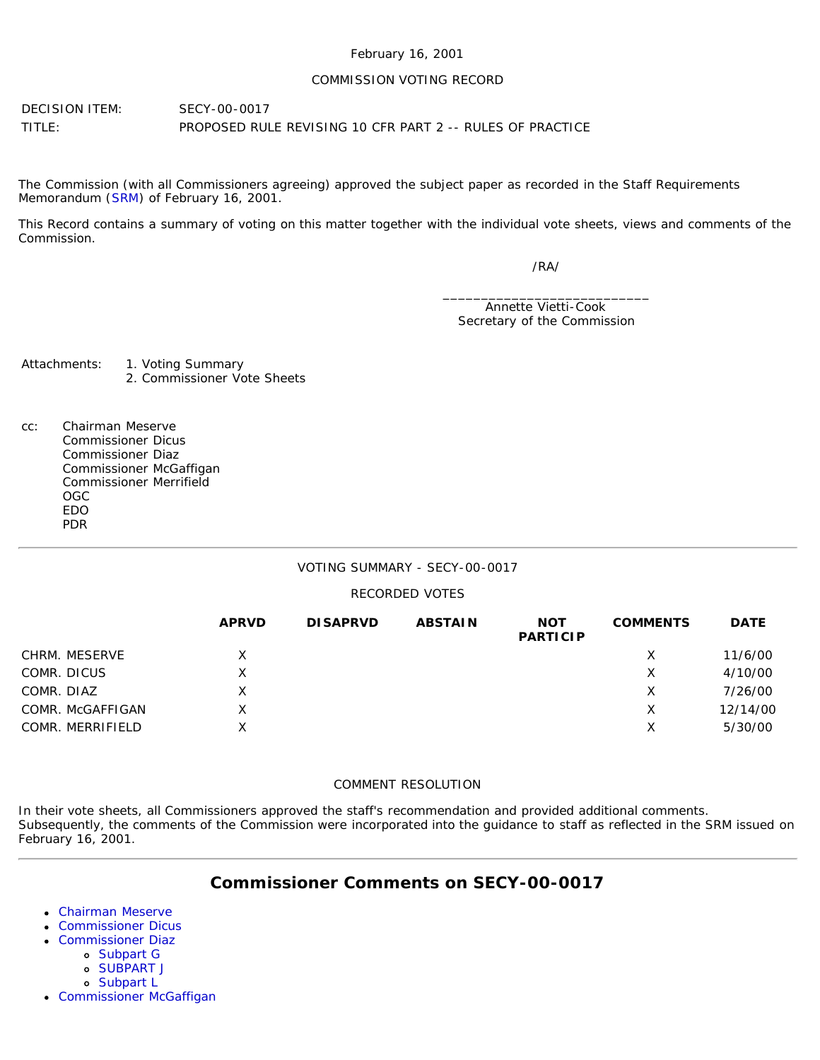#### February 16, 2001

#### COMMISSION VOTING RECORD

DECISION ITEM: SECY-00-0017 TITLE: PROPOSED RULE REVISING 10 CFR PART 2 -- RULES OF PRACTICE

The Commission (with all Commissioners agreeing) approved the subject paper as recorded in the Staff Requirements Memorandum ([SRM\)](http://www.nrc.gov/reading-rm/doc-collections/commission/srm/2000/2000-0017srm.html) of February 16, 2001.

This Record contains a summary of voting on this matter together with the individual vote sheets, views and comments of the Commission.

/RA/

\_\_\_\_\_\_\_\_\_\_\_\_\_\_\_\_\_\_\_\_\_\_\_\_\_\_\_ Annette Vietti-Cook Secretary of the Commission

Attachments: 1. Voting Summary 2. Commissioner Vote Sheets

cc: Chairman Meserve Commissioner Dicus Commissioner Diaz Commissioner McGaffigan Commissioner Merrifield OGC EDO PDR

#### VOTING SUMMARY - SECY-00-0017

#### RECORDED VOTES

|                  | <b>APRVD</b> | <b>DISAPRVD</b> | <b>ABSTAIN</b> | <b>NOT</b><br><b>PARTICIP</b> | <b>COMMENTS</b> | <b>DATE</b> |
|------------------|--------------|-----------------|----------------|-------------------------------|-----------------|-------------|
| CHRM. MESERVE    | X.           |                 |                |                               | X               | 11/6/00     |
| COMR. DICUS      | Χ            |                 |                |                               | Х               | 4/10/00     |
| COMR. DIAZ       | X            |                 |                |                               | X               | 7/26/00     |
| COMR. McGAFFIGAN | x            |                 |                |                               | X               | 12/14/00    |
| COMR. MERRIFIELD | x            |                 |                |                               | Χ               | 5/30/00     |

#### COMMENT RESOLUTION

In their vote sheets, all Commissioners approved the staff's recommendation and provided additional comments. Subsequently, the comments of the Commission were incorporated into the guidance to staff as reflected in the SRM issued on February 16, 2001.

# **Commissioner Comments on SECY-00-0017**

- [Chairman Meserve](#page-1-0)
- [Commissioner Dicus](#page-4-0)
- [Commissioner Diaz](#page-5-0)
	- [Subpart G](#page-5-1)
	- [SUBPART J](#page-6-0)
	- [Subpart L](#page-6-1)
- [Commissioner McGaffigan](#page-6-2)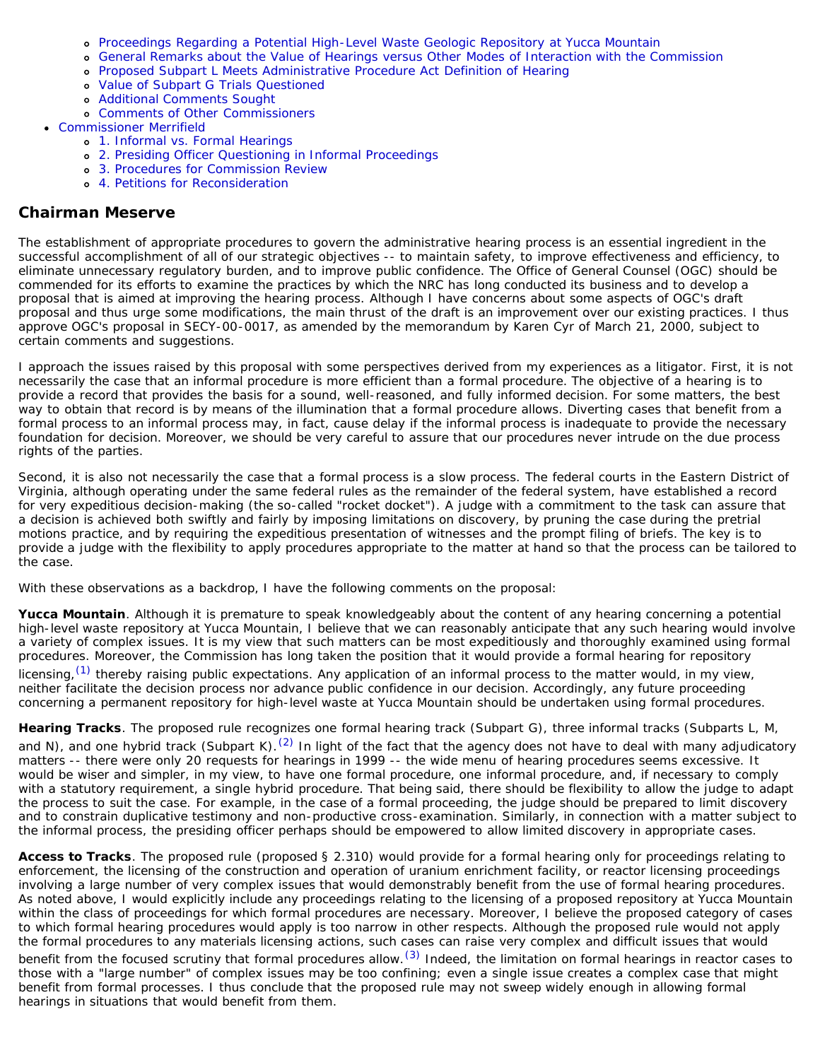- [Proceedings Regarding a Potential High-Level Waste Geologic Repository at Yucca Mountain](#page-6-3)
- [General Remarks about the Value of Hearings versus Other Modes of Interaction with the Commission](#page-7-0)
- [Proposed Subpart L Meets Administrative Procedure Act Definition of Hearing](#page-7-1)
- [Value of Subpart G Trials Questioned](#page-8-0)
- [Additional Comments Sought](#page-8-1)
- [Comments of Other Commissioners](#page-9-0)
- [Commissioner Merrifield](#page-10-0)
	- [1. Informal vs. Formal Hearings](#page-10-1)
	- [2. Presiding Officer Questioning in Informal Proceedings](#page-11-0)
	- [3. Procedures for Commission Review](#page-12-0)
	- [4. Petitions for Reconsideration](#page-12-1)

## <span id="page-1-0"></span>**Chairman Meserve**

The establishment of appropriate procedures to govern the administrative hearing process is an essential ingredient in the successful accomplishment of all of our strategic objectives -- to maintain safety, to improve effectiveness and efficiency, to eliminate unnecessary regulatory burden, and to improve public confidence. The Office of General Counsel (OGC) should be commended for its efforts to examine the practices by which the NRC has long conducted its business and to develop a proposal that is aimed at improving the hearing process. Although I have concerns about some aspects of OGC's draft proposal and thus urge some modifications, the main thrust of the draft is an improvement over our existing practices. I thus approve OGC's proposal in SECY-00-0017, as amended by the memorandum by Karen Cyr of March 21, 2000, subject to certain comments and suggestions.

I approach the issues raised by this proposal with some perspectives derived from my experiences as a litigator. First, it is not necessarily the case that an informal procedure is more efficient than a formal procedure. The objective of a hearing is to provide a record that provides the basis for a sound, well-reasoned, and fully informed decision. For some matters, the best way to obtain that record is by means of the illumination that a formal procedure allows. Diverting cases that benefit from a formal process to an informal process may, in fact, cause delay if the informal process is inadequate to provide the necessary foundation for decision. Moreover, we should be very careful to assure that our procedures never intrude on the due process rights of the parties.

Second, it is also not necessarily the case that a formal process is a slow process. The federal courts in the Eastern District of Virginia, although operating under the same federal rules as the remainder of the federal system, have established a record for very expeditious decision-making (the so-called "rocket docket"). A judge with a commitment to the task can assure that a decision is achieved both swiftly and fairly by imposing limitations on discovery, by pruning the case during the pretrial motions practice, and by requiring the expeditious presentation of witnesses and the prompt filing of briefs. The key is to provide a judge with the flexibility to apply procedures appropriate to the matter at hand so that the process can be tailored to the case.

With these observations as a backdrop, I have the following comments on the proposal:

**Yucca Mountain**. Although it is premature to speak knowledgeably about the content of any hearing concerning a potential high-level waste repository at Yucca Mountain, I believe that we can reasonably anticipate that any such hearing would involve a variety of complex issues. It is my view that such matters can be most expeditiously and thoroughly examined using formal procedures. Moreover, the Commission has long taken the position that it would provide a formal hearing for repository licensing,  $(1)$  thereby raising public expectations. Any application of an informal process to the matter would, in my view, neither facilitate the decision process nor advance public confidence in our decision. Accordingly, any future proceeding concerning a permanent repository for high-level waste at Yucca Mountain should be undertaken using formal procedures.

**Hearing Tracks**. The proposed rule recognizes one formal hearing track (Subpart G), three informal tracks (Subparts L, M, and N), and one hybrid track (Subpart K).<sup>[\(2\)](#page-12-3)</sup> In light of the fact that the agency does not have to deal with many adjudicatory matters -- there were only 20 requests for hearings in 1999 -- the wide menu of hearing procedures seems excessive. It would be wiser and simpler, in my view, to have one formal procedure, one informal procedure, and, if necessary to comply with a statutory requirement, a single hybrid procedure. That being said, there should be flexibility to allow the judge to adapt the process to suit the case. For example, in the case of a formal proceeding, the judge should be prepared to limit discovery and to constrain duplicative testimony and non-productive cross-examination. Similarly, in connection with a matter subject to the informal process, the presiding officer perhaps should be empowered to allow limited discovery in appropriate cases.

**Access to Tracks**. The proposed rule (proposed § 2.310) would provide for a formal hearing only for proceedings relating to enforcement, the licensing of the construction and operation of uranium enrichment facility, or reactor licensing proceedings involving a large number of very complex issues that would demonstrably benefit from the use of formal hearing procedures. As noted above, I would explicitly include any proceedings relating to the licensing of a proposed repository at Yucca Mountain within the class of proceedings for which formal procedures are necessary. Moreover, I believe the proposed category of cases to which formal hearing procedures would apply is too narrow in other respects. Although the proposed rule would not apply the formal procedures to any materials licensing actions, such cases can raise very complex and difficult issues that would

benefit from the focused scrutiny that formal procedures allow.<sup>(3)</sup> Indeed, the limitation on formal hearings in reactor cases to those with a "large number" of complex issues may be too confining; even a single issue creates a complex case that might benefit from formal processes. I thus conclude that the proposed rule may not sweep widely enough in allowing formal hearings in situations that would benefit from them.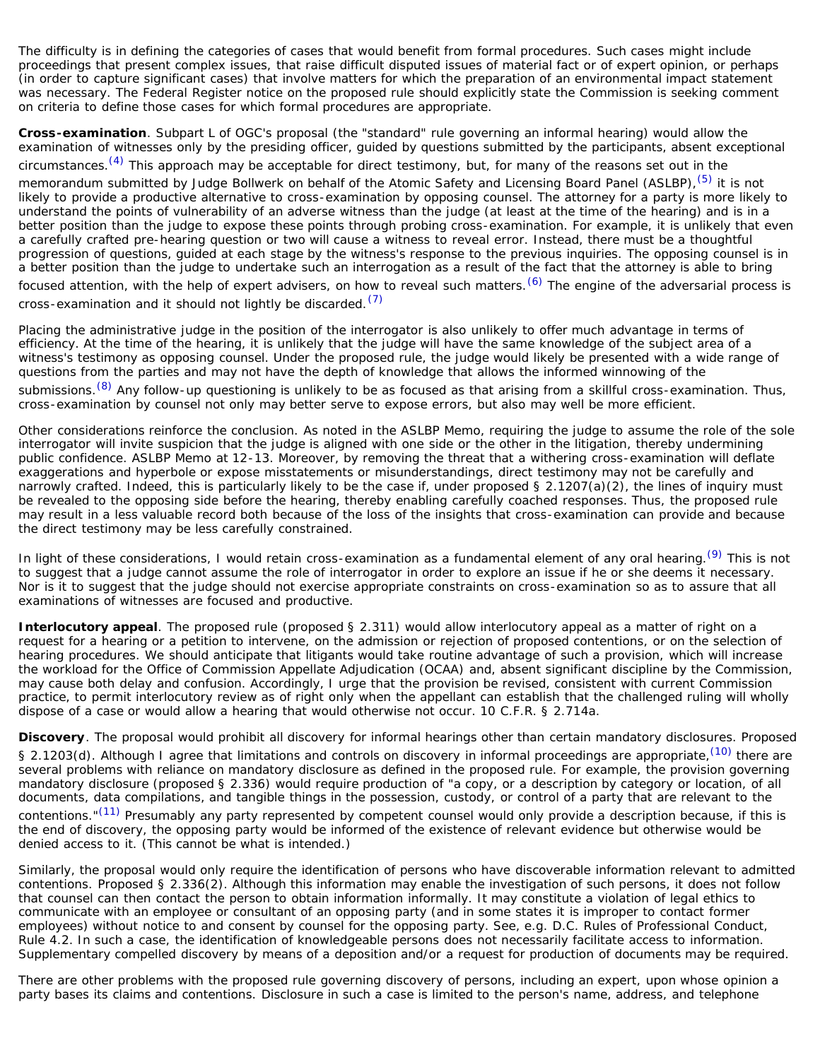The difficulty is in defining the categories of cases that would benefit from formal procedures. Such cases might include proceedings that present complex issues, that raise difficult disputed issues of material fact or of expert opinion, or perhaps (in order to capture significant cases) that involve matters for which the preparation of an environmental impact statement was necessary. The Federal Register notice on the proposed rule should explicitly state the Commission is seeking comment on criteria to define those cases for which formal procedures are appropriate.

**Cross-examination**. Subpart L of OGC's proposal (the "standard" rule governing an informal hearing) would allow the examination of witnesses only by the presiding officer, guided by questions submitted by the participants, absent exceptional circumstances.<sup>(4)</sup> This approach may be acceptable for direct testimony, but, for many of the reasons set out in the memorandum submitted by Judge Bollwerk on behalf of the Atomic Safety and Licensing Board Panel (ASLBP),<sup>(5)</sup> it is not likely to provide a productive alternative to cross-examination by opposing counsel. The attorney for a party is more likely to understand the points of vulnerability of an adverse witness than the judge (at least at the time of the hearing) and is in a better position than the judge to expose these points through probing cross-examination. For example, it is unlikely that even a carefully crafted pre-hearing question or two will cause a witness to reveal error. Instead, there must be a thoughtful progression of questions, guided at each stage by the witness's response to the previous inquiries. The opposing counsel is in a better position than the judge to undertake such an interrogation as a result of the fact that the attorney is able to bring focused attention, with the help of expert advisers, on how to reveal such matters. [\(6\)](#page-12-7) The engine of the adversarial process is cross-examination and it should not lightly be discarded.  $(7)$ 

Placing the administrative judge in the position of the interrogator is also unlikely to offer much advantage in terms of efficiency. At the time of the hearing, it is unlikely that the judge will have the same knowledge of the subject area of a witness's testimony as opposing counsel. Under the proposed rule, the judge would likely be presented with a wide range of questions from the parties and may not have the depth of knowledge that allows the informed winnowing of the submissions.<sup>[\(8\)](#page-12-9)</sup> Any follow-up questioning is unlikely to be as focused as that arising from a skillful cross-examination. Thus, cross-examination by counsel not only may better serve to expose errors, but also may well be more efficient.

Other considerations reinforce the conclusion. As noted in the ASLBP Memo, requiring the judge to assume the role of the sole interrogator will invite suspicion that the judge is aligned with one side or the other in the litigation, thereby undermining public confidence. ASLBP Memo at 12-13. Moreover, by removing the threat that a withering cross-examination will deflate exaggerations and hyperbole or expose misstatements or misunderstandings, direct testimony may not be carefully and narrowly crafted. Indeed, this is particularly likely to be the case if, under proposed § 2.1207(a)(2), the lines of inquiry must be revealed to the opposing side before the hearing, thereby enabling carefully coached responses. Thus, the proposed rule may result in a less valuable record both because of the loss of the insights that cross-examination can provide and because the direct testimony may be less carefully constrained.

In light of these considerations, I would retain cross-examination as a fundamental element of any oral hearing.<sup>[\(9\)](#page-12-10)</sup> This is not to suggest that a judge cannot assume the role of interrogator in order to explore an issue if he or she deems it necessary. Nor is it to suggest that the judge should not exercise appropriate constraints on cross-examination so as to assure that all examinations of witnesses are focused and productive.

**Interlocutory appeal**. The proposed rule (proposed § 2.311) would allow interlocutory appeal as a matter of right on a request for a hearing or a petition to intervene, on the admission or rejection of proposed contentions, or on the selection of hearing procedures. We should anticipate that litigants would take routine advantage of such a provision, which will increase the workload for the Office of Commission Appellate Adjudication (OCAA) and, absent significant discipline by the Commission, may cause both delay and confusion. Accordingly, I urge that the provision be revised, consistent with current Commission practice, to permit interlocutory review as of right only when the appellant can establish that the challenged ruling will wholly dispose of a case or would allow a hearing that would otherwise not occur. 10 C.F.R. § 2.714a.

**Discovery**. The proposal would prohibit all discovery for informal hearings other than certain mandatory disclosures. Proposed § 2.1203(d). Although I agree that limitations and controls on discovery in informal proceedings are appropriate,<sup>(10)</sup> there are several problems with reliance on mandatory disclosure as defined in the proposed rule. For example, the provision governing mandatory disclosure (proposed § 2.336) would require production of "a copy, or a description by category or location, of all documents, data compilations, and tangible things in the possession, custody, or control of a party that are relevant to the contentions."<sup>(11)</sup> Presumably any party represented by competent counsel would only provide a description because, if this is the end of discovery, the opposing party would be informed of the existence of relevant evidence but otherwise would be denied access to it. (This cannot be what is intended.)

Similarly, the proposal would only require the identification of persons who have discoverable information relevant to admitted contentions. Proposed § 2.336(2). Although this information may enable the investigation of such persons, it does not follow that counsel can then contact the person to obtain information informally. It may constitute a violation of legal ethics to communicate with an employee or consultant of an opposing party (and in some states it is improper to contact former employees) without notice to and consent by counsel for the opposing party. See, e.g. D.C. Rules of Professional Conduct, Rule 4.2. In such a case, the identification of knowledgeable persons does not necessarily facilitate access to information. Supplementary compelled discovery by means of a deposition and/or a request for production of documents may be required.

There are other problems with the proposed rule governing discovery of persons, including an expert, upon whose opinion a party bases its claims and contentions. Disclosure in such a case is limited to the person's name, address, and telephone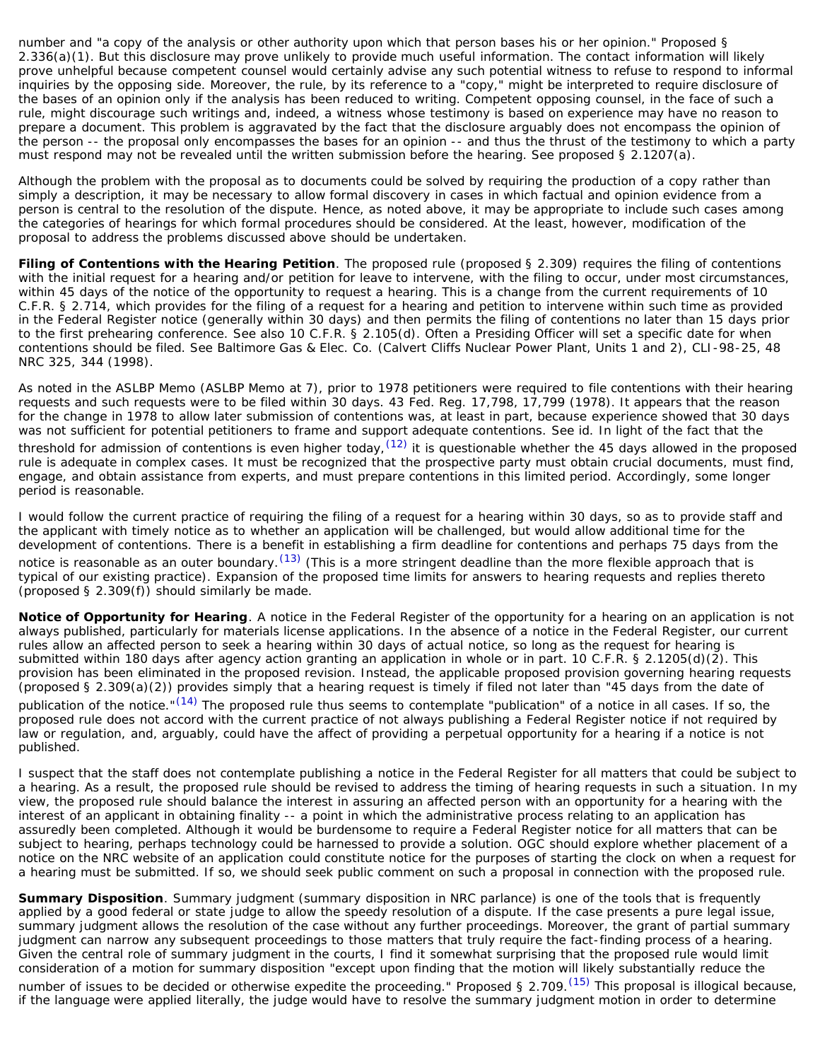number and "a copy of the analysis or other authority upon which that person bases his or her opinion." Proposed § 2.336(a)(1). But this disclosure may prove unlikely to provide much useful information. The contact information will likely prove unhelpful because competent counsel would certainly advise any such potential witness to refuse to respond to informal inquiries by the opposing side. Moreover, the rule, by its reference to a "copy," might be interpreted to require disclosure of the bases of an opinion only if the analysis has been reduced to writing. Competent opposing counsel, in the face of such a rule, might discourage such writings and, indeed, a witness whose testimony is based on experience may have no reason to prepare a document. This problem is aggravated by the fact that the disclosure arguably does not encompass the opinion of the person -- the proposal only encompasses the bases for an opinion -- and thus the thrust of the testimony to which a party must respond may not be revealed until the written submission before the hearing. See proposed § 2.1207(a).

Although the problem with the proposal as to documents could be solved by requiring the production of a copy rather than simply a description, it may be necessary to allow formal discovery in cases in which factual and opinion evidence from a person is central to the resolution of the dispute. Hence, as noted above, it may be appropriate to include such cases among the categories of hearings for which formal procedures should be considered. At the least, however, modification of the proposal to address the problems discussed above should be undertaken.

**Filing of Contentions with the Hearing Petition**. The proposed rule (proposed § 2.309) requires the filing of contentions with the initial request for a hearing and/or petition for leave to intervene, with the filing to occur, under most circumstances, within 45 days of the notice of the opportunity to request a hearing. This is a change from the current requirements of 10 C.F.R. § 2.714, which provides for the filing of a request for a hearing and petition to intervene within such time as provided in the Federal Register notice (generally within 30 days) and then permits the filing of contentions no later than 15 days prior to the first prehearing conference. See also 10 C.F.R. § 2.105(d). Often a Presiding Officer will set a specific date for when contentions should be filed. See Baltimore Gas & Elec. Co. (Calvert Cliffs Nuclear Power Plant, Units 1 and 2), CLI-98-25, 48 NRC 325, 344 (1998).

As noted in the ASLBP Memo (ASLBP Memo at 7), prior to 1978 petitioners were required to file contentions with their hearing requests and such requests were to be filed within 30 days. 43 Fed. Reg. 17,798, 17,799 (1978). It appears that the reason for the change in 1978 to allow later submission of contentions was, at least in part, because experience showed that 30 days was not sufficient for potential petitioners to frame and support adequate contentions. See id. In light of the fact that the threshold for admission of contentions is even higher today,  $(12)$  it is questionable whether the 45 days allowed in the proposed rule is adequate in complex cases. It must be recognized that the prospective party must obtain crucial documents, must find, engage, and obtain assistance from experts, and must prepare contentions in this limited period. Accordingly, some longer period is reasonable.

I would follow the current practice of requiring the filing of a request for a hearing within 30 days, so as to provide staff and the applicant with timely notice as to whether an application will be challenged, but would allow additional time for the development of contentions. There is a benefit in establishing a firm deadline for contentions and perhaps 75 days from the notice is reasonable as an outer boundary. <sup>(13)</sup> (This is a more stringent deadline than the more flexible approach that is typical of our existing practice). Expansion of the proposed time limits for answers to hearing requests and replies thereto (proposed § 2.309(f)) should similarly be made.

**Notice of Opportunity for Hearing**. A notice in the Federal Register of the opportunity for a hearing on an application is not always published, particularly for materials license applications. In the absence of a notice in the Federal Register, our current rules allow an affected person to seek a hearing within 30 days of actual notice, so long as the request for hearing is submitted within 180 days after agency action granting an application in whole or in part. 10 C.F.R. § 2.1205(d)(2). This provision has been eliminated in the proposed revision. Instead, the applicable proposed provision governing hearing requests (proposed § 2.309(a)(2)) provides simply that a hearing request is timely if filed not later than "45 days from the date of publication of the notice."<sup>(14)</sup> The proposed rule thus seems to contemplate "publication" of a notice in all cases. If so, the proposed rule does not accord with the current practice of not always publishing a Federal Register notice if not required by law or regulation, and, arguably, could have the affect of providing a perpetual opportunity for a hearing if a notice is not published.

I suspect that the staff does not contemplate publishing a notice in the Federal Register for all matters that could be subject to a hearing. As a result, the proposed rule should be revised to address the timing of hearing requests in such a situation. In my view, the proposed rule should balance the interest in assuring an affected person with an opportunity for a hearing with the interest of an applicant in obtaining finality -- a point in which the administrative process relating to an application has assuredly been completed. Although it would be burdensome to require a Federal Register notice for all matters that can be subject to hearing, perhaps technology could be harnessed to provide a solution. OGC should explore whether placement of a notice on the NRC website of an application could constitute notice for the purposes of starting the clock on when a request for a hearing must be submitted. If so, we should seek public comment on such a proposal in connection with the proposed rule.

**Summary Disposition**. Summary judgment (summary disposition in NRC parlance) is one of the tools that is frequently applied by a good federal or state judge to allow the speedy resolution of a dispute. If the case presents a pure legal issue, summary judgment allows the resolution of the case without any further proceedings. Moreover, the grant of partial summary judgment can narrow any subsequent proceedings to those matters that truly require the fact-finding process of a hearing. Given the central role of summary judgment in the courts, I find it somewhat surprising that the proposed rule would limit consideration of a motion for summary disposition "except upon finding that the motion will likely substantially reduce the

number of issues to be decided or otherwise expedite the proceeding." Proposed § 2.709.<sup>(15)</sup> This proposal is illogical because, if the language were applied literally, the judge would have to resolve the summary judgment motion in order to determine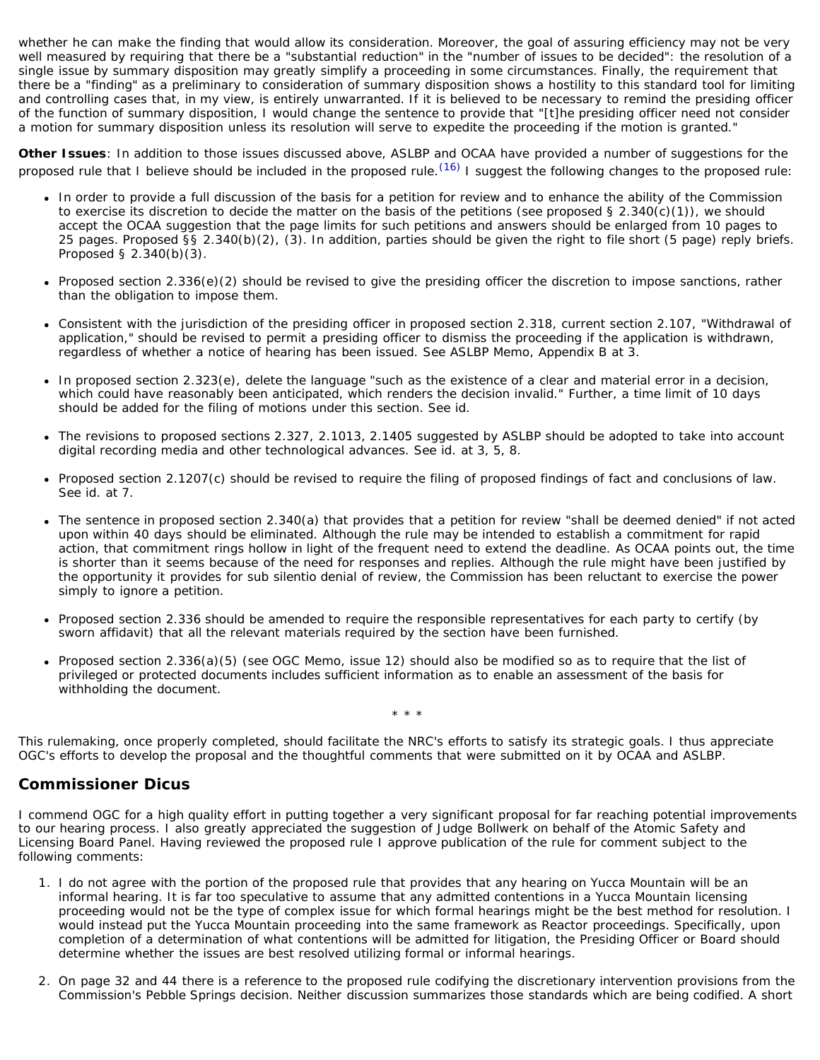whether he can make the finding that would allow its consideration. Moreover, the goal of assuring efficiency may not be very well measured by requiring that there be a "substantial reduction" in the "number of issues to be decided": the resolution of a single issue by summary disposition may greatly simplify a proceeding in some circumstances. Finally, the requirement that there be a "finding" as a preliminary to consideration of summary disposition shows a hostility to this standard tool for limiting and controlling cases that, in my view, is entirely unwarranted. If it is believed to be necessary to remind the presiding officer of the function of summary disposition, I would change the sentence to provide that "[t]he presiding officer need not consider a motion for summary disposition unless its resolution will serve to expedite the proceeding if the motion is granted."

**Other Issues**: In addition to those issues discussed above, ASLBP and OCAA have provided a number of suggestions for the proposed rule that I believe should be included in the proposed rule.  $(16)$  I suggest the following changes to the proposed rule:

- In order to provide a full discussion of the basis for a petition for review and to enhance the ability of the Commission to exercise its discretion to decide the matter on the basis of the petitions (see proposed § 2.340(c)(1)), we should accept the OCAA suggestion that the page limits for such petitions and answers should be enlarged from 10 pages to 25 pages. Proposed §§ 2.340(b)(2), (3). In addition, parties should be given the right to file short (5 page) reply briefs. Proposed § 2.340(b)(3).
- Proposed section 2.336(e)(2) should be revised to give the presiding officer the discretion to impose sanctions, rather  $\bullet$ than the obligation to impose them.
- Consistent with the jurisdiction of the presiding officer in proposed section 2.318, current section 2.107, "Withdrawal of application," should be revised to permit a presiding officer to dismiss the proceeding if the application is withdrawn, regardless of whether a notice of hearing has been issued. See ASLBP Memo, Appendix B at 3.
- In proposed section 2.323(e), delete the language "such as the existence of a clear and material error in a decision, which could have reasonably been anticipated, which renders the decision invalid." Further, a time limit of 10 days should be added for the filing of motions under this section. See id.
- The revisions to proposed sections 2.327, 2.1013, 2.1405 suggested by ASLBP should be adopted to take into account digital recording media and other technological advances. See id. at 3, 5, 8.
- Proposed section 2.1207(c) should be revised to require the filing of proposed findings of fact and conclusions of law.  $\bullet$ See id. at 7.
- The sentence in proposed section 2.340(a) that provides that a petition for review "shall be deemed denied" if not acted upon within 40 days should be eliminated. Although the rule may be intended to establish a commitment for rapid action, that commitment rings hollow in light of the frequent need to extend the deadline. As OCAA points out, the time is shorter than it seems because of the need for responses and replies. Although the rule might have been justified by the opportunity it provides for sub silentio denial of review, the Commission has been reluctant to exercise the power simply to ignore a petition.
- Proposed section 2.336 should be amended to require the responsible representatives for each party to certify (by  $\bullet$ sworn affidavit) that all the relevant materials required by the section have been furnished.
- Proposed section 2.336(a)(5) (see OGC Memo, issue 12) should also be modified so as to require that the list of privileged or protected documents includes sufficient information as to enable an assessment of the basis for withholding the document.

This rulemaking, once properly completed, should facilitate the NRC's efforts to satisfy its strategic goals. I thus appreciate OGC's efforts to develop the proposal and the thoughtful comments that were submitted on it by OCAA and ASLBP.

\* \* \*

## <span id="page-4-0"></span>**Commissioner Dicus**

I commend OGC for a high quality effort in putting together a very significant proposal for far reaching potential improvements to our hearing process. I also greatly appreciated the suggestion of Judge Bollwerk on behalf of the Atomic Safety and Licensing Board Panel. Having reviewed the proposed rule I approve publication of the rule for comment subject to the following comments:

- 1. I do not agree with the portion of the proposed rule that provides that any hearing on Yucca Mountain will be an informal hearing. It is far too speculative to assume that any admitted contentions in a Yucca Mountain licensing proceeding would not be the type of complex issue for which formal hearings might be the best method for resolution. I would instead put the Yucca Mountain proceeding into the same framework as Reactor proceedings. Specifically, upon completion of a determination of what contentions will be admitted for litigation, the Presiding Officer or Board should determine whether the issues are best resolved utilizing formal or informal hearings.
- 2. On page 32 and 44 there is a reference to the proposed rule codifying the discretionary intervention provisions from the Commission's Pebble Springs decision. Neither discussion summarizes those standards which are being codified. A short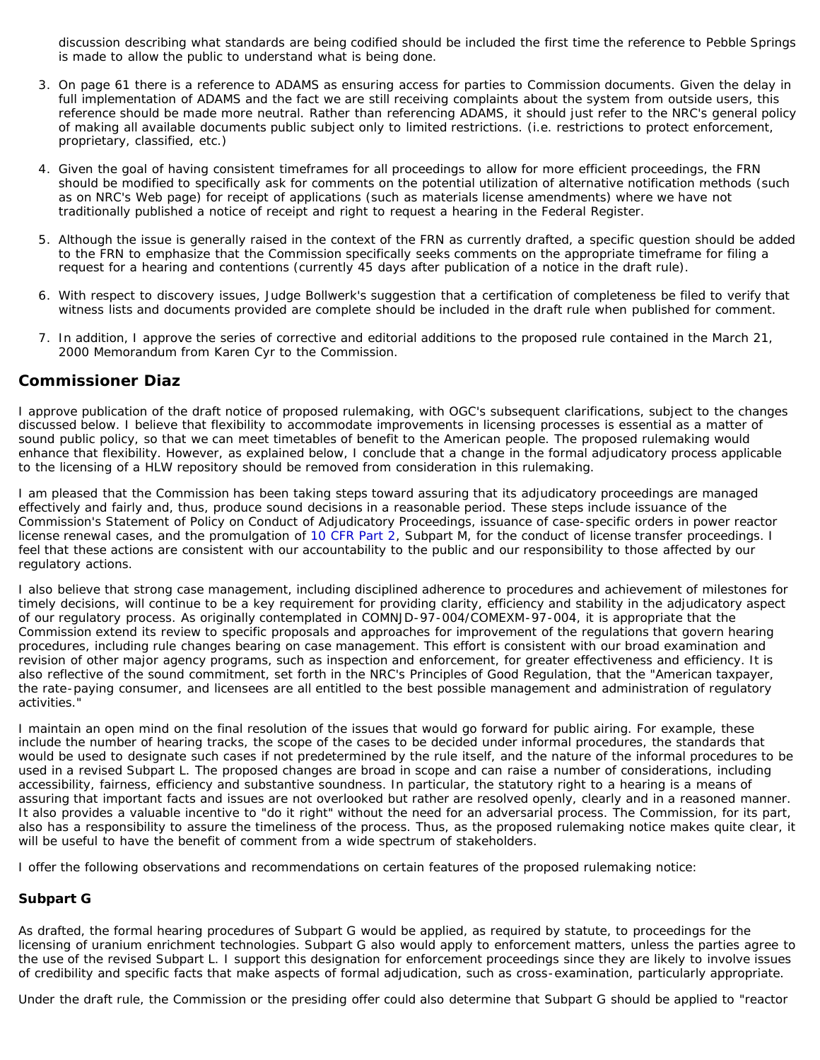discussion describing what standards are being codified should be included the first time the reference to Pebble Springs is made to allow the public to understand what is being done.

- 3. On page 61 there is a reference to ADAMS as ensuring access for parties to Commission documents. Given the delay in full implementation of ADAMS and the fact we are still receiving complaints about the system from outside users, this reference should be made more neutral. Rather than referencing ADAMS, it should just refer to the NRC's general policy of making all available documents public subject only to limited restrictions. (i.e. restrictions to protect enforcement, proprietary, classified, etc.)
- 4. Given the goal of having consistent timeframes for all proceedings to allow for more efficient proceedings, the FRN should be modified to specifically ask for comments on the potential utilization of alternative notification methods (such as on NRC's Web page) for receipt of applications (such as materials license amendments) where we have not traditionally published a notice of receipt and right to request a hearing in the Federal Register.
- 5. Although the issue is generally raised in the context of the FRN as currently drafted, a specific question should be added to the FRN to emphasize that the Commission specifically seeks comments on the appropriate timeframe for filing a request for a hearing and contentions (currently 45 days after publication of a notice in the draft rule).
- 6. With respect to discovery issues, Judge Bollwerk's suggestion that a certification of completeness be filed to verify that witness lists and documents provided are complete should be included in the draft rule when published for comment.
- 7. In addition, I approve the series of corrective and editorial additions to the proposed rule contained in the March 21, 2000 Memorandum from Karen Cyr to the Commission.

## <span id="page-5-0"></span>**Commissioner Diaz**

I approve publication of the draft notice of proposed rulemaking, with OGC's subsequent clarifications, subject to the changes discussed below. I believe that flexibility to accommodate improvements in licensing processes is essential as a matter of sound public policy, so that we can meet timetables of benefit to the American people. The proposed rulemaking would enhance that flexibility. However, as explained below, I conclude that a change in the formal adjudicatory process applicable to the licensing of a HLW repository should be removed from consideration in this rulemaking.

I am pleased that the Commission has been taking steps toward assuring that its adjudicatory proceedings are managed effectively and fairly and, thus, produce sound decisions in a reasonable period. These steps include issuance of the Commission's Statement of Policy on Conduct of Adjudicatory Proceedings, issuance of case-specific orders in power reactor license renewal cases, and the promulgation of [10 CFR Part 2,](http://www.nrc.gov/reading-rm/doc-collections/cfr/part002/) Subpart M, for the conduct of license transfer proceedings. I feel that these actions are consistent with our accountability to the public and our responsibility to those affected by our regulatory actions.

I also believe that strong case management, including disciplined adherence to procedures and achievement of milestones for timely decisions, will continue to be a key requirement for providing clarity, efficiency and stability in the adjudicatory aspect of our regulatory process. As originally contemplated in COMNJD-97-004/COMEXM-97-004, it is appropriate that the Commission extend its review to specific proposals and approaches for improvement of the regulations that govern hearing procedures, including rule changes bearing on case management. This effort is consistent with our broad examination and revision of other major agency programs, such as inspection and enforcement, for greater effectiveness and efficiency. It is also reflective of the sound commitment, set forth in the NRC's Principles of Good Regulation, that the "American taxpayer, the rate-paying consumer, and licensees are all entitled to the best possible management and administration of regulatory activities."

I maintain an open mind on the final resolution of the issues that would go forward for public airing. For example, these include the number of hearing tracks, the scope of the cases to be decided under informal procedures, the standards that would be used to designate such cases if not predetermined by the rule itself, and the nature of the informal procedures to be used in a revised Subpart L. The proposed changes are broad in scope and can raise a number of considerations, including accessibility, fairness, efficiency and substantive soundness. In particular, the statutory right to a hearing is a means of assuring that important facts and issues are not overlooked but rather are resolved openly, clearly and in a reasoned manner. It also provides a valuable incentive to "do it right" without the need for an adversarial process. The Commission, for its part, also has a responsibility to assure the timeliness of the process. Thus, as the proposed rulemaking notice makes quite clear, it will be useful to have the benefit of comment from a wide spectrum of stakeholders.

I offer the following observations and recommendations on certain features of the proposed rulemaking notice:

## <span id="page-5-1"></span>**Subpart G**

As drafted, the formal hearing procedures of Subpart G would be applied, as required by statute, to proceedings for the licensing of uranium enrichment technologies. Subpart G also would apply to enforcement matters, unless the parties agree to the use of the revised Subpart L. I support this designation for enforcement proceedings since they are likely to involve issues of credibility and specific facts that make aspects of formal adjudication, such as cross-examination, particularly appropriate.

Under the draft rule, the Commission or the presiding offer could also determine that Subpart G should be applied to "reactor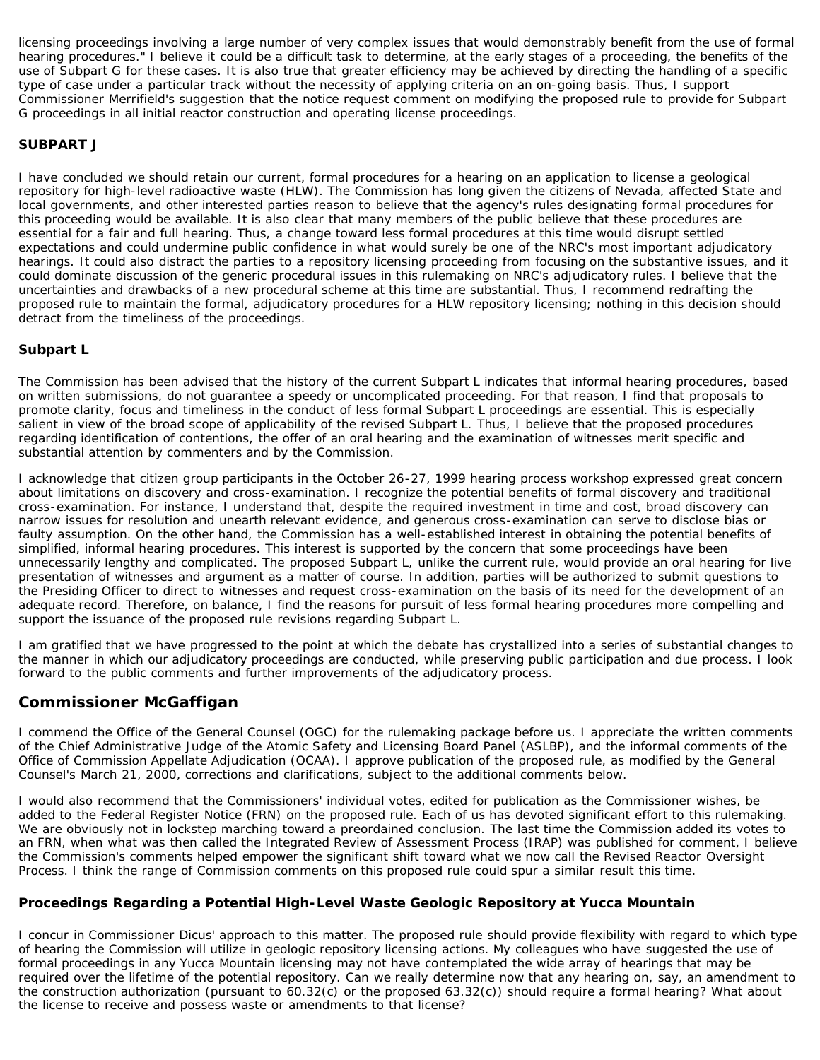licensing proceedings involving a large number of very complex issues that would demonstrably benefit from the use of formal hearing procedures." I believe it could be a difficult task to determine, at the early stages of a proceeding, the benefits of the use of Subpart G for these cases. It is also true that greater efficiency may be achieved by directing the handling of a specific type of case under a particular track without the necessity of applying criteria on an on-going basis. Thus, I support Commissioner Merrifield's suggestion that the notice request comment on modifying the proposed rule to provide for Subpart G proceedings in all initial reactor construction and operating license proceedings.

## <span id="page-6-0"></span>**SUBPART J**

I have concluded we should retain our current, formal procedures for a hearing on an application to license a geological repository for high-level radioactive waste (HLW). The Commission has long given the citizens of Nevada, affected State and local governments, and other interested parties reason to believe that the agency's rules designating formal procedures for this proceeding would be available. It is also clear that many members of the public believe that these procedures are essential for a fair and full hearing. Thus, a change toward less formal procedures at this time would disrupt settled expectations and could undermine public confidence in what would surely be one of the NRC's most important adjudicatory hearings. It could also distract the parties to a repository licensing proceeding from focusing on the substantive issues, and it could dominate discussion of the generic procedural issues in this rulemaking on NRC's adjudicatory rules. I believe that the uncertainties and drawbacks of a new procedural scheme at this time are substantial. Thus, I recommend redrafting the proposed rule to maintain the formal, adjudicatory procedures for a HLW repository licensing; nothing in this decision should detract from the timeliness of the proceedings.

### <span id="page-6-1"></span>**Subpart L**

The Commission has been advised that the history of the current Subpart L indicates that informal hearing procedures, based on written submissions, do not guarantee a speedy or uncomplicated proceeding. For that reason, I find that proposals to promote clarity, focus and timeliness in the conduct of less formal Subpart L proceedings are essential. This is especially salient in view of the broad scope of applicability of the revised Subpart L. Thus, I believe that the proposed procedures regarding identification of contentions, the offer of an oral hearing and the examination of witnesses merit specific and substantial attention by commenters and by the Commission.

I acknowledge that citizen group participants in the October 26-27, 1999 hearing process workshop expressed great concern about limitations on discovery and cross-examination. I recognize the potential benefits of formal discovery and traditional cross-examination. For instance, I understand that, despite the required investment in time and cost, broad discovery can narrow issues for resolution and unearth relevant evidence, and generous cross-examination can serve to disclose bias or faulty assumption. On the other hand, the Commission has a well-established interest in obtaining the potential benefits of simplified, informal hearing procedures. This interest is supported by the concern that some proceedings have been unnecessarily lengthy and complicated. The proposed Subpart L, unlike the current rule, would provide an oral hearing for live presentation of witnesses and argument as a matter of course. In addition, parties will be authorized to submit questions to the Presiding Officer to direct to witnesses and request cross-examination on the basis of its need for the development of an adequate record. Therefore, on balance, I find the reasons for pursuit of less formal hearing procedures more compelling and support the issuance of the proposed rule revisions regarding Subpart L.

I am gratified that we have progressed to the point at which the debate has crystallized into a series of substantial changes to the manner in which our adjudicatory proceedings are conducted, while preserving public participation and due process. I look forward to the public comments and further improvements of the adjudicatory process.

# <span id="page-6-2"></span>**Commissioner McGaffigan**

I commend the Office of the General Counsel (OGC) for the rulemaking package before us. I appreciate the written comments of the Chief Administrative Judge of the Atomic Safety and Licensing Board Panel (ASLBP), and the informal comments of the Office of Commission Appellate Adjudication (OCAA). I approve publication of the proposed rule, as modified by the General Counsel's March 21, 2000, corrections and clarifications, subject to the additional comments below.

I would also recommend that the Commissioners' individual votes, edited for publication as the Commissioner wishes, be added to the Federal Register Notice (FRN) on the proposed rule. Each of us has devoted significant effort to this rulemaking. We are obviously not in lockstep marching toward a preordained conclusion. The last time the Commission added its votes to an FRN, when what was then called the Integrated Review of Assessment Process (IRAP) was published for comment, I believe the Commission's comments helped empower the significant shift toward what we now call the Revised Reactor Oversight Process. I think the range of Commission comments on this proposed rule could spur a similar result this time.

#### <span id="page-6-3"></span>**Proceedings Regarding a Potential High-Level Waste Geologic Repository at Yucca Mountain**

I concur in Commissioner Dicus' approach to this matter. The proposed rule should provide flexibility with regard to which type of hearing the Commission will utilize in geologic repository licensing actions. My colleagues who have suggested the use of formal proceedings in any Yucca Mountain licensing may not have contemplated the wide array of hearings that may be required over the lifetime of the potential repository. Can we really determine now that any hearing on, say, an amendment to the construction authorization (pursuant to 60.32(c) or the proposed 63.32(c)) should require a formal hearing? What about the license to receive and possess waste or amendments to that license?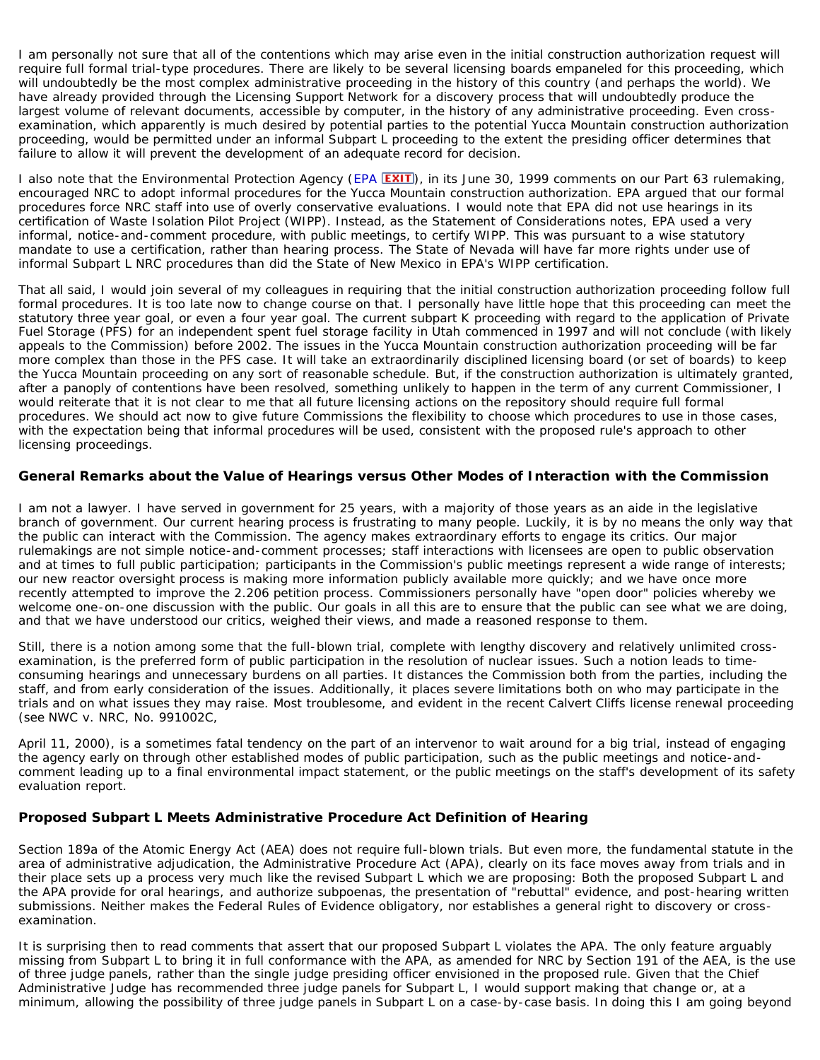I am personally not sure that all of the contentions which may arise even in the initial construction authorization request will require full formal trial-type procedures. There are likely to be several licensing boards empaneled for this proceeding, which will undoubtedly be the most complex administrative proceeding in the history of this country (and perhaps the world). We have already provided through the Licensing Support Network for a discovery process that will undoubtedly produce the largest volume of relevant documents, accessible by computer, in the history of any administrative proceeding. Even crossexamination, which apparently is much desired by potential parties to the potential Yucca Mountain construction authorization proceeding, would be permitted under an informal Subpart L proceeding to the extent the presiding officer determines that failure to allow it will prevent the development of an adequate record for decision.

I also note that the Environmental Protection Agency ([EPA](http://www.epa.gov/) **EXIT**), in its June 30, 1999 comments on our Part 63 rulemaking, encouraged NRC to adopt informal procedures for the Yucca Mountain construction authorization. EPA argued that our formal procedures force NRC staff into use of overly conservative evaluations. I would note that EPA did not use hearings in its certification of Waste Isolation Pilot Project (WIPP). Instead, as the Statement of Considerations notes, EPA used a very informal, notice-and-comment procedure, with public meetings, to certify WIPP. This was pursuant to a wise statutory mandate to use a certification, rather than hearing process. The State of Nevada will have far more rights under use of informal Subpart L NRC procedures than did the State of New Mexico in EPA's WIPP certification.

That all said, I would join several of my colleagues in requiring that the initial construction authorization proceeding follow full formal procedures. It is too late now to change course on that. I personally have little hope that this proceeding can meet the statutory three year goal, or even a four year goal. The current subpart K proceeding with regard to the application of Private Fuel Storage (PFS) for an independent spent fuel storage facility in Utah commenced in 1997 and will not conclude (with likely appeals to the Commission) before 2002. The issues in the Yucca Mountain construction authorization proceeding will be far more complex than those in the PFS case. It will take an extraordinarily disciplined licensing board (or set of boards) to keep the Yucca Mountain proceeding on any sort of reasonable schedule. But, if the construction authorization is ultimately granted, after a panoply of contentions have been resolved, something unlikely to happen in the term of any current Commissioner, I would reiterate that it is not clear to me that all future licensing actions on the repository should require full formal procedures. We should act now to give future Commissions the flexibility to choose which procedures to use in those cases, with the expectation being that informal procedures will be used, consistent with the proposed rule's approach to other licensing proceedings.

#### <span id="page-7-0"></span>**General Remarks about the Value of Hearings versus Other Modes of Interaction with the Commission**

I am not a lawyer. I have served in government for 25 years, with a majority of those years as an aide in the legislative branch of government. Our current hearing process is frustrating to many people. Luckily, it is by no means the only way that the public can interact with the Commission. The agency makes extraordinary efforts to engage its critics. Our major rulemakings are not simple notice-and-comment processes; staff interactions with licensees are open to public observation and at times to full public participation; participants in the Commission's public meetings represent a wide range of interests; our new reactor oversight process is making more information publicly available more quickly; and we have once more recently attempted to improve the 2.206 petition process. Commissioners personally have "open door" policies whereby we welcome one-on-one discussion with the public. Our goals in all this are to ensure that the public can see what we are doing, and that we have understood our critics, weighed their views, and made a reasoned response to them.

Still, there is a notion among some that the full-blown trial, complete with lengthy discovery and relatively unlimited crossexamination, is the preferred form of public participation in the resolution of nuclear issues. Such a notion leads to timeconsuming hearings and unnecessary burdens on all parties. It distances the Commission both from the parties, including the staff, and from early consideration of the issues. Additionally, it places severe limitations both on who may participate in the trials and on what issues they may raise. Most troublesome, and evident in the recent Calvert Cliffs license renewal proceeding (see *NWC v. NRC*, No. 991002C,

April 11, 2000), is a sometimes fatal tendency on the part of an intervenor to wait around for a big trial, instead of engaging the agency early on through other established modes of public participation, such as the public meetings and notice-andcomment leading up to a final environmental impact statement, or the public meetings on the staff's development of its safety evaluation report.

# <span id="page-7-1"></span>**Proposed Subpart L Meets Administrative Procedure Act Definition of Hearing**

Section 189a of the Atomic Energy Act (AEA) does not require full-blown trials. But even more, the fundamental statute in the area of administrative adjudication, the Administrative Procedure Act (APA), clearly on its face moves away from trials and in their place sets up a process very much like the revised Subpart L which we are proposing: Both the proposed Subpart L and the APA provide for oral hearings, and authorize subpoenas, the presentation of "rebuttal" evidence, and post-hearing written submissions. Neither makes the Federal Rules of Evidence obligatory, nor establishes a general right to discovery or crossexamination.

It is surprising then to read comments that assert that our proposed Subpart L violates the APA. The only feature arguably missing from Subpart L to bring it in full conformance with the APA, as amended for NRC by Section 191 of the AEA, is the use of three judge panels, rather than the single judge presiding officer envisioned in the proposed rule. Given that the Chief Administrative Judge has recommended three judge panels for Subpart L, I would support making that change or, at a minimum, allowing the possibility of three judge panels in Subpart L on a case-by-case basis. In doing this I am going beyond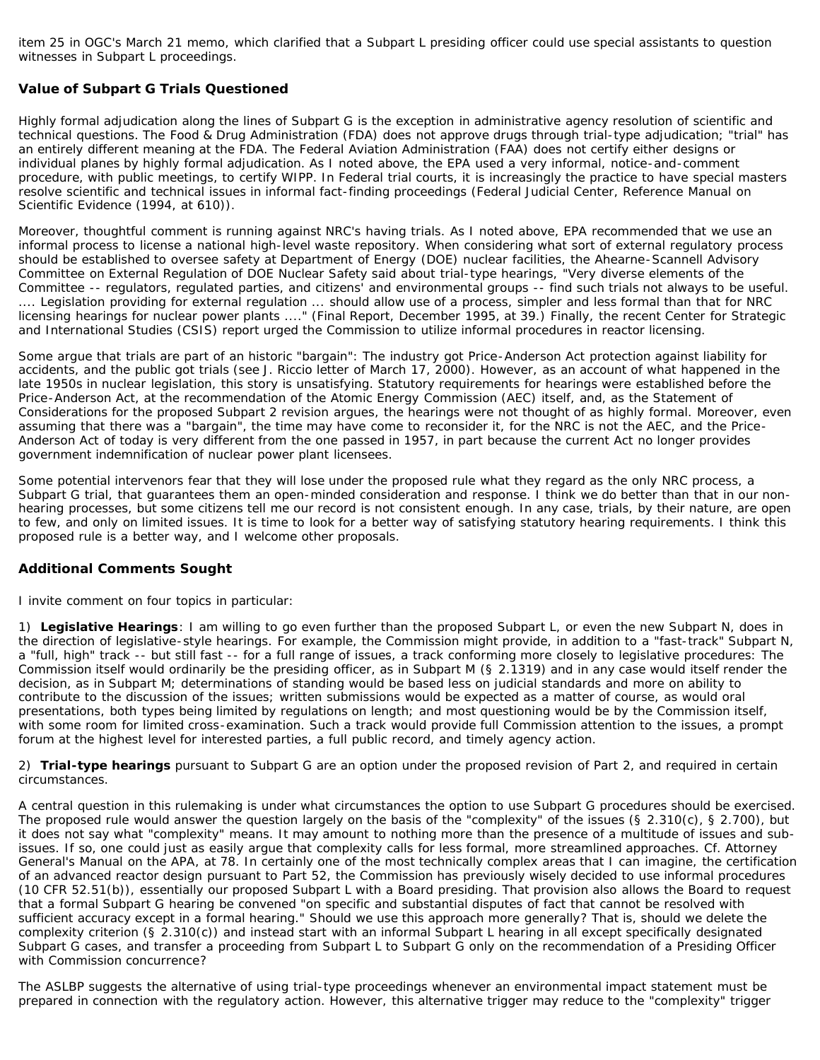item 25 in OGC's March 21 memo, which clarified that a Subpart L presiding officer could use special assistants to question witnesses in Subpart L proceedings.

### <span id="page-8-0"></span>**Value of Subpart G Trials Questioned**

Highly formal adjudication along the lines of Subpart G is the exception in administrative agency resolution of scientific and technical questions. The Food & Drug Administration (FDA) does not approve drugs through trial-type adjudication; "trial" has an entirely different meaning at the FDA. The Federal Aviation Administration (FAA) does not certify either designs or individual planes by highly formal adjudication. As I noted above, the EPA used a very informal, notice-and-comment procedure, with public meetings, to certify WIPP. In Federal trial courts, it is increasingly the practice to have special masters resolve scientific and technical issues in informal fact-finding proceedings (Federal Judicial Center, *Reference Manual on Scientific Evidence* (1994, at 610)).

Moreover, thoughtful comment is running against NRC's having trials. As I noted above, EPA recommended that we use an informal process to license a national high-level waste repository. When considering what sort of external regulatory process should be established to oversee safety at Department of Energy (DOE) nuclear facilities, the Ahearne-Scannell Advisory Committee on External Regulation of DOE Nuclear Safety said about trial-type hearings, "Very diverse elements of the Committee -- regulators, regulated parties, and citizens' and environmental groups -- find such trials not always to be useful. .... Legislation providing for external regulation ... should allow use of a process, simpler and less formal than that for NRC licensing hearings for nuclear power plants ...." (Final Report, December 1995, at 39.) Finally, the recent Center for Strategic and International Studies (CSIS) report urged the Commission to utilize informal procedures in reactor licensing.

Some argue that trials are part of an historic "bargain": The industry got Price-Anderson Act protection against liability for accidents, and the public got trials (see J. Riccio letter of March 17, 2000). However, as an account of what happened in the late 1950s in nuclear legislation, this story is unsatisfying. Statutory requirements for hearings were established before the Price-Anderson Act, at the recommendation of the Atomic Energy Commission (AEC) itself, and, as the Statement of Considerations for the proposed Subpart 2 revision argues, the hearings were not thought of as highly formal. Moreover, even assuming that there was a "bargain", the time may have come to reconsider it, for the NRC is not the AEC, and the Price-Anderson Act of today is very different from the one passed in 1957, in part because the current Act no longer provides government indemnification of nuclear power plant licensees.

Some potential intervenors fear that they will lose under the proposed rule what they regard as the only NRC process, a Subpart G trial, that guarantees them an open-minded consideration and response. I think we do better than that in our nonhearing processes, but some citizens tell me our record is not consistent enough. In any case, trials, by their nature, are open to few, and only on limited issues. It is time to look for a better way of satisfying statutory hearing requirements. I think this proposed rule is a better way, and I welcome other proposals.

#### <span id="page-8-1"></span>**Additional Comments Sought**

I invite comment on four topics in particular:

1) *Legislative Hearings*: I am willing to go even further than the proposed Subpart L, or even the new Subpart N, does in the direction of legislative-style hearings. For example, the Commission might provide, in addition to a "fast-track" Subpart N, a "full, high" track -- but still fast -- for a full range of issues, a track conforming more closely to legislative procedures: The Commission itself would ordinarily be the presiding officer, as in Subpart M (§ 2.1319) and in any case would itself render the decision, as in Subpart M; determinations of standing would be based less on judicial standards and more on ability to contribute to the discussion of the issues; written submissions would be expected as a matter of course, as would oral presentations, both types being limited by regulations on length; and most questioning would be by the Commission itself, with some room for limited cross-examination. Such a track would provide full Commission attention to the issues, a prompt forum at the highest level for interested parties, a full public record, and timely agency action.

2) *Trial-type hearings* pursuant to Subpart G are an option under the proposed revision of Part 2, and required in certain circumstances.

A central question in this rulemaking is under what circumstances the option to use Subpart G procedures should be exercised. The proposed rule would answer the question largely on the basis of the "complexity" of the issues (§ 2.310(c), § 2.700), but it does not say what "complexity" means. It may amount to nothing more than the presence of a multitude of issues and subissues. If so, one could just as easily argue that complexity calls for *less* formal, more streamlined approaches. Cf. *Attorney General's Manual on the APA*, at 78. In certainly one of the most technically complex areas that I can imagine, the certification of an advanced reactor design pursuant to Part 52, the Commission has previously wisely decided to use informal procedures (10 CFR 52.51(b)), essentially our proposed Subpart L with a Board presiding. That provision also allows the Board to request that a formal Subpart G hearing be convened "on specific and substantial disputes of fact that cannot be resolved with sufficient accuracy except in a formal hearing." Should we use this approach more generally? That is, should we delete the complexity criterion (§ 2.310(c)) and instead start with an informal Subpart L hearing in all except specifically designated Subpart G cases, and transfer a proceeding from Subpart L to Subpart G only on the recommendation of a Presiding Officer with Commission concurrence?

The ASLBP suggests the alternative of using trial-type proceedings whenever an environmental impact statement must be prepared in connection with the regulatory action. However, this alternative trigger may reduce to the "complexity" trigger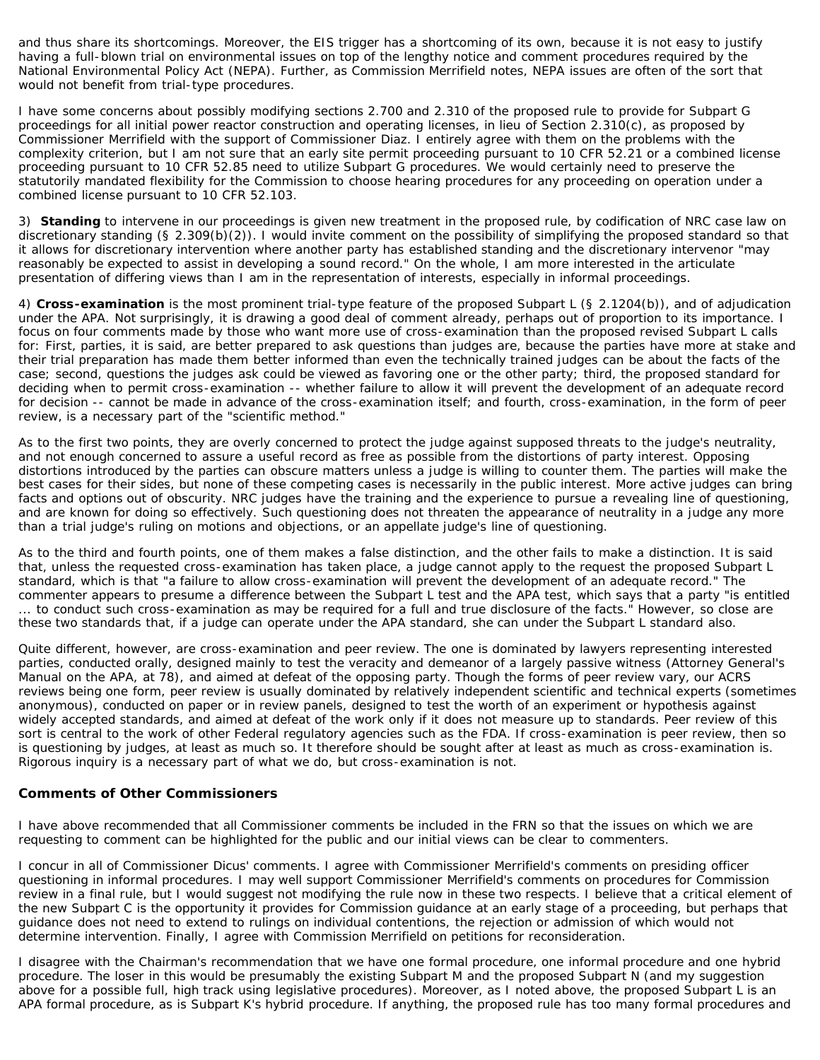and thus share its shortcomings. Moreover, the EIS trigger has a shortcoming of its own, because it is not easy to justify having a full-blown trial on environmental issues on top of the lengthy notice and comment procedures required by the National Environmental Policy Act (NEPA). Further, as Commission Merrifield notes, NEPA issues are often of the sort that would not benefit from trial-type procedures.

I have some concerns about possibly modifying sections 2.700 and 2.310 of the proposed rule to provide for Subpart G proceedings for all initial power reactor construction and operating licenses, in lieu of Section 2.310(c), as proposed by Commissioner Merrifield with the support of Commissioner Diaz. I entirely agree with them on the problems with the complexity criterion, but I am not sure that an early site permit proceeding pursuant to 10 CFR 52.21 or a combined license proceeding pursuant to 10 CFR 52.85 need to utilize Subpart G procedures. We would certainly need to preserve the statutorily mandated flexibility for the Commission to choose hearing procedures for any proceeding on operation under a combined license pursuant to 10 CFR 52.103.

3) *Standing* to intervene in our proceedings is given new treatment in the proposed rule, by codification of NRC case law on discretionary standing (§ 2.309(b)(2)). I would invite comment on the possibility of simplifying the proposed standard so that it allows for discretionary intervention where another party has established standing and the discretionary intervenor "may reasonably be expected to assist in developing a sound record." On the whole, I am more interested in the articulate presentation of differing views than I am in the representation of interests, especially in informal proceedings.

4) *Cross-examination* is the most prominent trial-type feature of the proposed Subpart L (§ 2.1204(b)), and of adjudication under the APA. Not surprisingly, it is drawing a good deal of comment already, perhaps out of proportion to its importance. I focus on four comments made by those who want more use of cross-examination than the proposed revised Subpart L calls for: First, parties, it is said, are better prepared to ask questions than judges are, because the parties have more at stake and their trial preparation has made them better informed than even the technically trained judges can be about the facts of the case; second, questions the judges ask could be viewed as favoring one or the other party; third, the proposed standard for deciding when to permit cross-examination -- whether failure to allow it will prevent the development of an adequate record for decision -- cannot be made in advance of the cross-examination itself; and fourth, cross-examination, in the form of peer review, is a necessary part of the "scientific method."

As to the first two points, they are overly concerned to protect the judge against supposed threats to the judge's neutrality, and not enough concerned to assure a useful record as free as possible from the distortions of party interest. Opposing distortions introduced by the parties can obscure matters unless a judge is willing to counter them. The parties will make the best cases for their sides, but none of these competing cases is necessarily in the public interest. More active judges can bring facts and options out of obscurity. NRC judges have the training and the experience to pursue a revealing line of questioning, and are known for doing so effectively. Such questioning does not threaten the appearance of neutrality in a judge any more than a trial judge's ruling on motions and objections, or an appellate judge's line of questioning.

As to the third and fourth points, one of them makes a false distinction, and the other fails to make a distinction. It is said that, unless the requested cross-examination has taken place, a judge cannot apply to the request the proposed Subpart L standard, which is that "a failure to allow cross-examination will prevent the development of an adequate record." The commenter appears to presume a difference between the Subpart L test and the APA test, which says that a party "is entitled ... to conduct such cross-examination as may be required for a full and true disclosure of the facts." However, so close are these two standards that, if a judge can operate under the APA standard, she can under the Subpart L standard also.

Quite different, however, are cross-examination and peer review. The one is dominated by lawyers representing interested parties, conducted orally, designed mainly to test the veracity and demeanor of a largely passive witness (Attorney General's Manual on the APA, at 78), and aimed at defeat of the opposing party. Though the forms of peer review vary, our ACRS reviews being one form, peer review is usually dominated by relatively independent scientific and technical experts (sometimes anonymous), conducted on paper or in review panels, designed to test the worth of an experiment or hypothesis against widely accepted standards, and aimed at defeat of the work only if it does not measure up to standards. Peer review of this sort is central to the work of other Federal regulatory agencies such as the FDA. If cross-examination is peer review, then so is questioning by judges, at least as much so. It therefore should be sought after at least as much as cross-examination is. Rigorous inquiry is a necessary part of what we do, but cross-examination is not.

#### <span id="page-9-0"></span>**Comments of Other Commissioners**

I have above recommended that all Commissioner comments be included in the FRN so that the issues on which we are requesting to comment can be highlighted for the public and our initial views can be clear to commenters.

I concur in all of Commissioner Dicus' comments. I agree with Commissioner Merrifield's comments on presiding officer questioning in informal procedures. I may well support Commissioner Merrifield's comments on procedures for Commission review in a final rule, but I would suggest not modifying the rule now in these two respects. I believe that a critical element of the new Subpart C is the opportunity it provides for Commission guidance at an early stage of a proceeding, but perhaps that guidance does not need to extend to rulings on individual contentions, the rejection or admission of which would not determine intervention. Finally, I agree with Commission Merrifield on petitions for reconsideration.

I disagree with the Chairman's recommendation that we have one formal procedure, one informal procedure and one hybrid procedure. The loser in this would be presumably the existing Subpart M and the proposed Subpart N (and my suggestion above for a possible full, high track using legislative procedures). Moreover, as I noted above, the proposed Subpart L is an APA formal procedure, as is Subpart K's hybrid procedure. If anything, the proposed rule has too many formal procedures and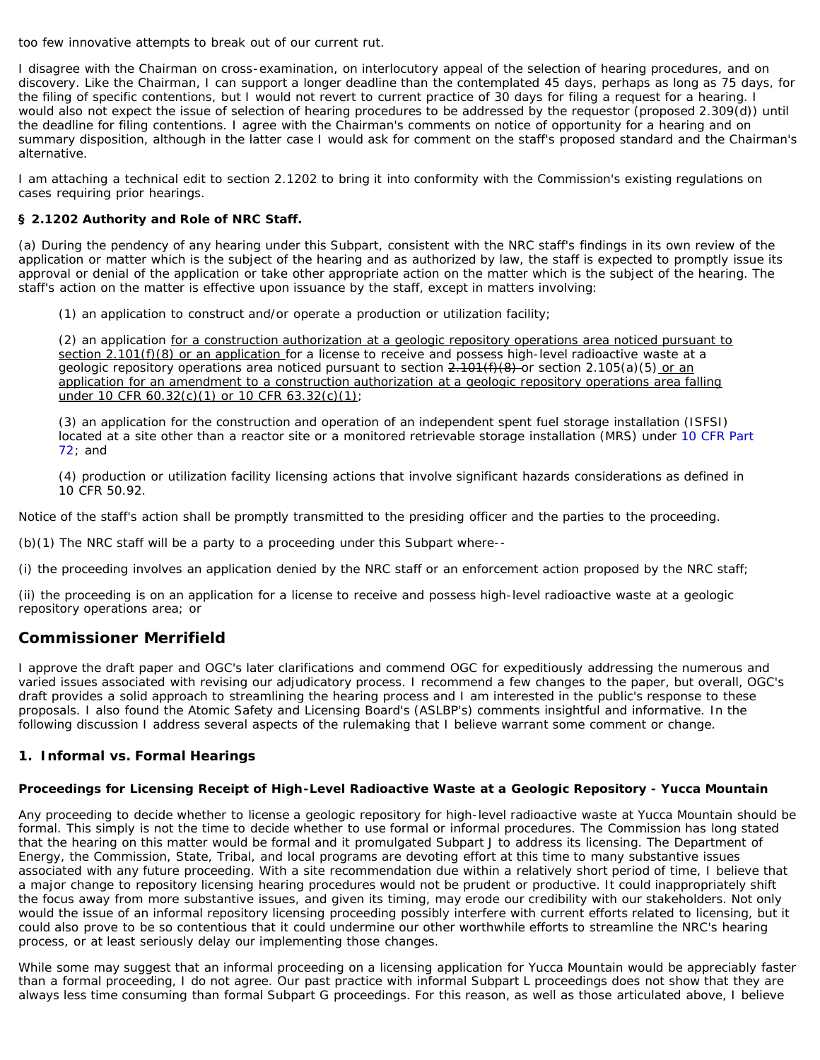too few innovative attempts to break out of our current rut.

I disagree with the Chairman on cross-examination, on interlocutory appeal of the selection of hearing procedures, and on discovery. Like the Chairman, I can support a longer deadline than the contemplated 45 days, perhaps as long as 75 days, for the filing of specific contentions, but I would not revert to current practice of 30 days for filing a request for a hearing. I would also not expect the issue of selection of hearing procedures to be addressed by the requestor (proposed 2.309(d)) until the deadline for filing contentions. I agree with the Chairman's comments on notice of opportunity for a hearing and on summary disposition, although in the latter case I would ask for comment on the staff's proposed standard and the Chairman's alternative.

I am attaching a technical edit to section 2.1202 to bring it into conformity with the Commission's existing regulations on cases requiring prior hearings.

### **§ 2.1202 Authority and Role of NRC Staff.**

(a) During the pendency of any hearing under this Subpart, consistent with the NRC staff's findings in its own review of the application or matter which is the subject of the hearing and as authorized by law, the staff is expected to promptly issue its approval or denial of the application or take other appropriate action on the matter which is the subject of the hearing. The staff's action on the matter is effective upon issuance by the staff, except in matters involving:

(1) an application to construct and/or operate a production or utilization facility;

(2) an application for a construction authorization at a geologic repository operations area noticed pursuant to section 2.101(f)(8) or an application for a license to receive and possess high-level radioactive waste at a geologic repository operations area noticed pursuant to section  $\frac{2.101(f)(8)}{2.001(f)(8)}$  or section 2.105(a)(5) or an application for an amendment to a construction authorization at a geologic repository operations area falling under 10 CFR 60.32(c)(1) or 10 CFR 63.32(c)(1);

(3) an application for the construction and operation of an independent spent fuel storage installation (ISFSI) located at a site other than a reactor site or a monitored retrievable storage installation (MRS) under [10 CFR Part](http://www.nrc.gov/reading-rm/doc-collections/cfr/part072/) [72;](http://www.nrc.gov/reading-rm/doc-collections/cfr/part072/) and

(4) production or utilization facility licensing actions that involve significant hazards considerations as defined in 10 CFR 50.92.

Notice of the staff's action shall be promptly transmitted to the presiding officer and the parties to the proceeding.

(b)(1) The NRC staff will be a party to a proceeding under this Subpart where--

(i) the proceeding involves an application denied by the NRC staff or an enforcement action proposed by the NRC staff;

(ii) the proceeding is on an application for a license to receive and possess high-level radioactive waste at a geologic repository operations area; or

# <span id="page-10-0"></span>**Commissioner Merrifield**

I approve the draft paper and OGC's later clarifications and commend OGC for expeditiously addressing the numerous and varied issues associated with revising our adjudicatory process. I recommend a few changes to the paper, but overall, OGC's draft provides a solid approach to streamlining the hearing process and I am interested in the public's response to these proposals. I also found the Atomic Safety and Licensing Board's (ASLBP's) comments insightful and informative. In the following discussion I address several aspects of the rulemaking that I believe warrant some comment or change.

## <span id="page-10-1"></span>**1. Informal vs. Formal Hearings**

#### *Proceedings for Licensing Receipt of High-Level Radioactive Waste at a Geologic Repository - Yucca Mountain*

Any proceeding to decide whether to license a geologic repository for high-level radioactive waste at Yucca Mountain should be formal. This simply is not the time to decide whether to use formal or informal procedures. The Commission has long stated that the hearing on this matter would be formal and it promulgated Subpart J to address its licensing. The Department of Energy, the Commission, State, Tribal, and local programs are devoting effort at this time to many substantive issues associated with any future proceeding. With a site recommendation due within a relatively short period of time, I believe that a major change to repository licensing hearing procedures would not be prudent or productive. It could inappropriately shift the focus away from more substantive issues, and given its timing, may erode our credibility with our stakeholders. Not only would the issue of an informal repository licensing proceeding possibly interfere with current efforts related to licensing, but it could also prove to be so contentious that it could undermine our other worthwhile efforts to streamline the NRC's hearing process, or at least seriously delay our implementing those changes.

While some may suggest that an informal proceeding on a licensing application for Yucca Mountain would be appreciably faster than a formal proceeding, I do not agree. Our past practice with informal Subpart L proceedings does not show that they are always less time consuming than formal Subpart G proceedings. For this reason, as well as those articulated above, I believe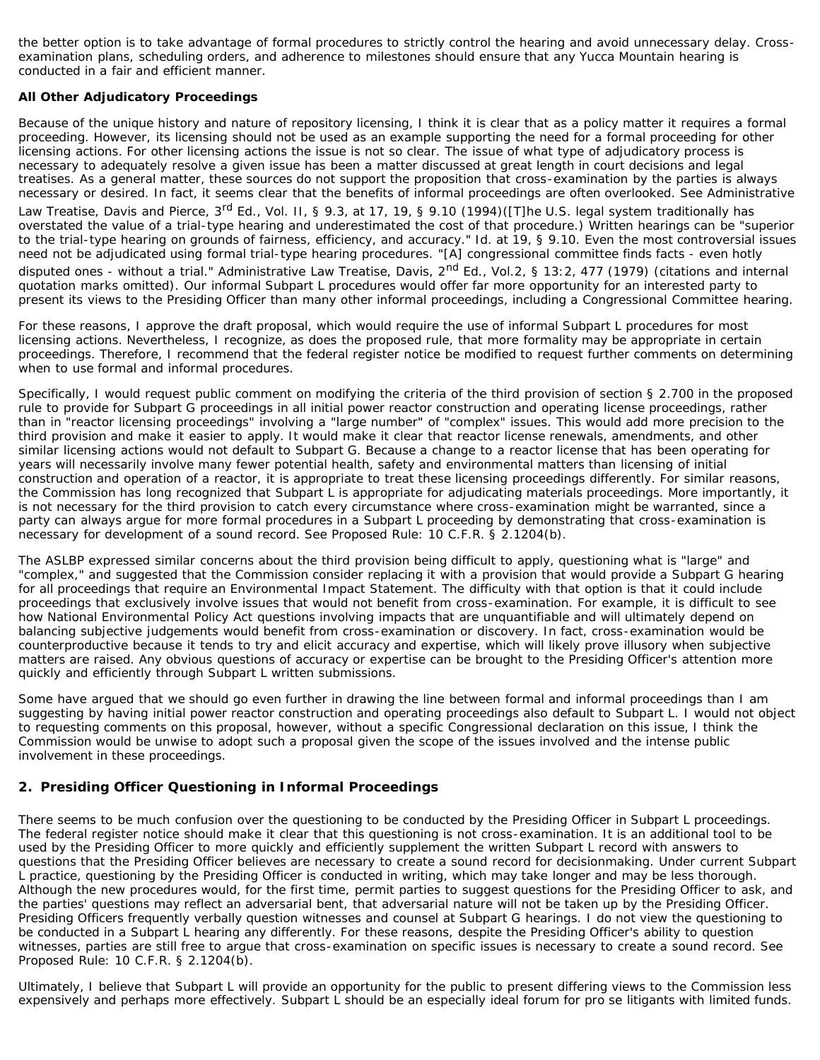the better option is to take advantage of formal procedures to strictly control the hearing and avoid unnecessary delay. Crossexamination plans, scheduling orders, and adherence to milestones should ensure that any Yucca Mountain hearing is conducted in a fair and efficient manner.

### *All Other Adjudicatory Proceedings*

Because of the unique history and nature of repository licensing, I think it is clear that as a policy matter it requires a formal proceeding. However, its licensing should not be used as an example supporting the need for a formal proceeding for other licensing actions. For other licensing actions the issue is not so clear. The issue of what type of adjudicatory process is necessary to adequately resolve a given issue has been a matter discussed at great length in court decisions and legal treatises. As a general matter, these sources do not support the proposition that cross-examination by the parties is always necessary or desired. In fact, it seems clear that the benefits of informal proceedings are often overlooked. See Administrative Law Treatise, Davis and Pierce, 3<sup>rd</sup> Ed., Vol. II, § 9.3, at 17, 19, § 9.10 (1994)([T]he U.S. legal system traditionally has overstated the value of a trial-type hearing and underestimated the cost of that procedure.) Written hearings can be "superior to the trial-type hearing on grounds of fairness, efficiency, and accuracy." Id. at 19, § 9.10. Even the most controversial issues need not be adjudicated using formal trial-type hearing procedures. "[A] congressional committee finds facts - even hotly disputed ones - without a trial." Administrative Law Treatise, Davis, 2<sup>nd</sup> Ed., Vol.2, § 13:2, 477 (1979) (citations and internal quotation marks omitted). Our informal Subpart L procedures would offer far more opportunity for an interested party to present its views to the Presiding Officer than many other informal proceedings, including a Congressional Committee hearing.

For these reasons, I approve the draft proposal, which would require the use of informal Subpart L procedures for most licensing actions. Nevertheless, I recognize, as does the proposed rule, that more formality may be appropriate in certain proceedings. Therefore, I recommend that the federal register notice be modified to request further comments on determining when to use formal and informal procedures.

Specifically, I would request public comment on modifying the criteria of the third provision of section § 2.700 in the proposed rule to provide for Subpart G proceedings in all initial power reactor construction and operating license proceedings, rather than in "reactor licensing proceedings" involving a "large number" of "complex" issues. This would add more precision to the third provision and make it easier to apply. It would make it clear that reactor license renewals, amendments, and other similar licensing actions would not default to Subpart G. Because a change to a reactor license that has been operating for years will necessarily involve many fewer potential health, safety and environmental matters than licensing of initial construction and operation of a reactor, it is appropriate to treat these licensing proceedings differently. For similar reasons, the Commission has long recognized that Subpart L is appropriate for adjudicating materials proceedings. More importantly, it is not necessary for the third provision to catch every circumstance where cross-examination might be warranted, since a party can always argue for more formal procedures in a Subpart L proceeding by demonstrating that cross-examination is necessary for development of a sound record. See Proposed Rule: 10 C.F.R. § 2.1204(b).

The ASLBP expressed similar concerns about the third provision being difficult to apply, questioning what is "large" and "complex," and suggested that the Commission consider replacing it with a provision that would provide a Subpart G hearing for all proceedings that require an Environmental Impact Statement. The difficulty with that option is that it could include proceedings that exclusively involve issues that would not benefit from cross-examination. For example, it is difficult to see how National Environmental Policy Act questions involving impacts that are unquantifiable and will ultimately depend on balancing subjective judgements would benefit from cross-examination or discovery. In fact, cross-examination would be counterproductive because it tends to try and elicit accuracy and expertise, which will likely prove illusory when subjective matters are raised. Any obvious questions of accuracy or expertise can be brought to the Presiding Officer's attention more quickly and efficiently through Subpart L written submissions.

Some have argued that we should go even further in drawing the line between formal and informal proceedings than I am suggesting by having initial power reactor construction and operating proceedings also default to Subpart L. I would not object to requesting comments on this proposal, however, without a specific Congressional declaration on this issue, I think the Commission would be unwise to adopt such a proposal given the scope of the issues involved and the intense public involvement in these proceedings.

# <span id="page-11-0"></span>**2. Presiding Officer Questioning in Informal Proceedings**

There seems to be much confusion over the questioning to be conducted by the Presiding Officer in Subpart L proceedings. The federal register notice should make it clear that this questioning is not cross-examination. It is an additional tool to be used by the Presiding Officer to more quickly and efficiently supplement the written Subpart L record with answers to questions that the Presiding Officer believes are necessary to create a sound record for decisionmaking. Under current Subpart L practice, questioning by the Presiding Officer is conducted in writing, which may take longer and may be less thorough. Although the new procedures would, for the first time, permit parties to suggest questions for the Presiding Officer to ask, and the parties' questions may reflect an adversarial bent, that adversarial nature will not be taken up by the Presiding Officer. Presiding Officers frequently verbally question witnesses and counsel at Subpart G hearings. I do not view the questioning to be conducted in a Subpart L hearing any differently. For these reasons, despite the Presiding Officer's ability to question witnesses, parties are still free to argue that cross-examination on specific issues is necessary to create a sound record. See Proposed Rule: 10 C.F.R. § 2.1204(b).

Ultimately, I believe that Subpart L will provide an opportunity for the public to present differing views to the Commission less expensively and perhaps more effectively. Subpart L should be an especially ideal forum for pro se litigants with limited funds.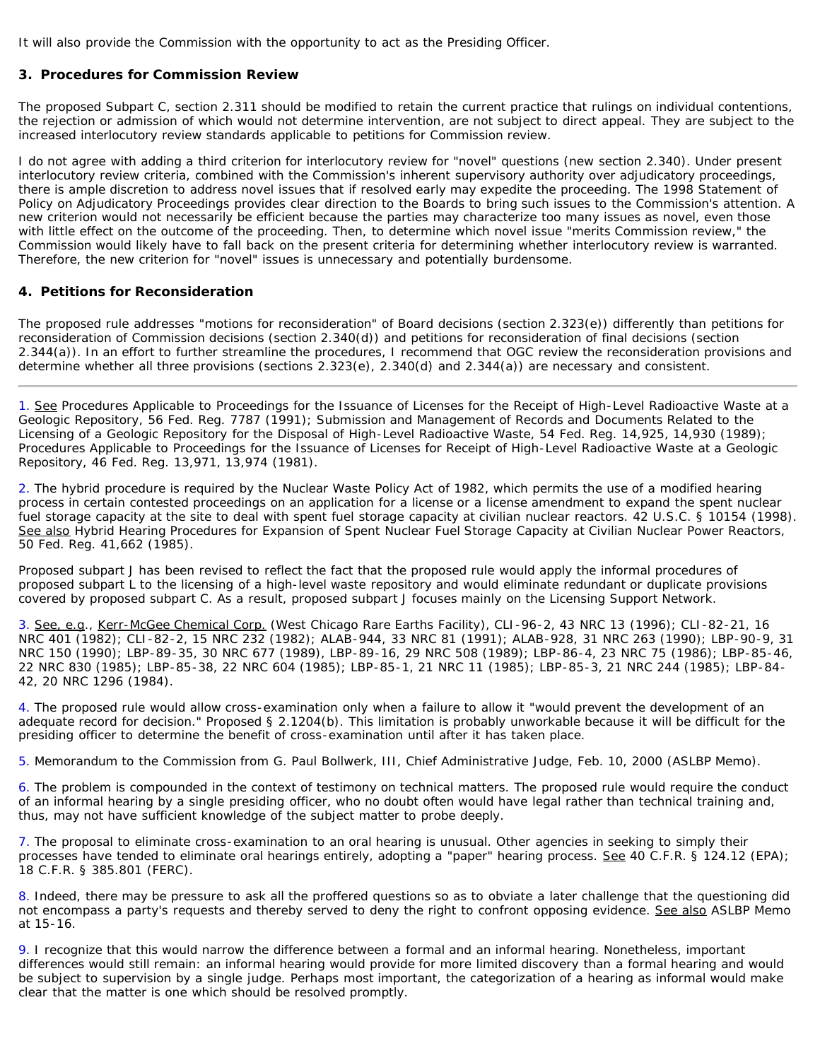It will also provide the Commission with the opportunity to act as the Presiding Officer.

### <span id="page-12-0"></span>**3. Procedures for Commission Review**

The proposed Subpart C, section 2.311 should be modified to retain the current practice that rulings on individual contentions, the rejection or admission of which would not determine intervention, are not subject to direct appeal. They are subject to the increased interlocutory review standards applicable to petitions for Commission review.

I do not agree with adding a third criterion for interlocutory review for "novel" questions (new section 2.340). Under present interlocutory review criteria, combined with the Commission's inherent supervisory authority over adjudicatory proceedings, there is ample discretion to address novel issues that if resolved early may expedite the proceeding. The 1998 Statement of Policy on Adjudicatory Proceedings provides clear direction to the Boards to bring such issues to the Commission's attention. A new criterion would not necessarily be efficient because the parties may characterize too many issues as novel, even those with little effect on the outcome of the proceeding. Then, to determine which novel issue "merits Commission review," the Commission would likely have to fall back on the present criteria for determining whether interlocutory review is warranted. Therefore, the new criterion for "novel" issues is unnecessary and potentially burdensome.

#### <span id="page-12-1"></span>**4. Petitions for Reconsideration**

The proposed rule addresses "motions for reconsideration" of Board decisions (section 2.323(e)) differently than petitions for reconsideration of Commission decisions (section 2.340(d)) and petitions for reconsideration of final decisions (section 2.344(a)). In an effort to further streamline the procedures, I recommend that OGC review the reconsideration provisions and determine whether all three provisions (sections 2.323(e), 2.340(d) and 2.344(a)) are necessary and consistent.

<span id="page-12-2"></span>1. See Procedures Applicable to Proceedings for the Issuance of Licenses for the Receipt of High-Level Radioactive Waste at a Geologic Repository, 56 Fed. Reg. 7787 (1991); Submission and Management of Records and Documents Related to the Licensing of a Geologic Repository for the Disposal of High-Level Radioactive Waste, 54 Fed. Reg. 14,925, 14,930 (1989); Procedures Applicable to Proceedings for the Issuance of Licenses for Receipt of High-Level Radioactive Waste at a Geologic Repository, 46 Fed. Reg. 13,971, 13,974 (1981).

<span id="page-12-3"></span>2. The hybrid procedure is required by the Nuclear Waste Policy Act of 1982, which permits the use of a modified hearing process in certain contested proceedings on an application for a license or a license amendment to expand the spent nuclear fuel storage capacity at the site to deal with spent fuel storage capacity at civilian nuclear reactors. 42 U.S.C. § 10154 (1998). See also Hybrid Hearing Procedures for Expansion of Spent Nuclear Fuel Storage Capacity at Civilian Nuclear Power Reactors, 50 Fed. Reg. 41,662 (1985).

Proposed subpart J has been revised to reflect the fact that the proposed rule would apply the informal procedures of proposed subpart L to the licensing of a high-level waste repository and would eliminate redundant or duplicate provisions covered by proposed subpart C. As a result, proposed subpart J focuses mainly on the Licensing Support Network.

<span id="page-12-4"></span>3. See, e.g., Kerr-McGee Chemical Corp. (West Chicago Rare Earths Facility), CLI-96-2, 43 NRC 13 (1996); CLI-82-21, 16 NRC 401 (1982); CLI-82-2, 15 NRC 232 (1982); ALAB-944, 33 NRC 81 (1991); ALAB-928, 31 NRC 263 (1990); LBP-90-9, 31 NRC 150 (1990); LBP-89-35, 30 NRC 677 (1989), LBP-89-16, 29 NRC 508 (1989); LBP-86-4, 23 NRC 75 (1986); LBP-85-46, 22 NRC 830 (1985); LBP-85-38, 22 NRC 604 (1985); LBP-85-1, 21 NRC 11 (1985); LBP-85-3, 21 NRC 244 (1985); LBP-84- 42, 20 NRC 1296 (1984).

<span id="page-12-5"></span>4. The proposed rule would allow cross-examination only when a failure to allow it "would prevent the development of an adequate record for decision." Proposed § 2.1204(b). This limitation is probably unworkable because it will be difficult for the presiding officer to determine the benefit of cross-examination until after it has taken place.

<span id="page-12-6"></span>5. Memorandum to the Commission from G. Paul Bollwerk, III, Chief Administrative Judge, Feb. 10, 2000 (ASLBP Memo).

<span id="page-12-7"></span>6. The problem is compounded in the context of testimony on technical matters. The proposed rule would require the conduct of an informal hearing by a single presiding officer, who no doubt often would have legal rather than technical training and, thus, may not have sufficient knowledge of the subject matter to probe deeply.

<span id="page-12-8"></span>7. The proposal to eliminate cross-examination to an oral hearing is unusual. Other agencies in seeking to simply their processes have tended to eliminate oral hearings entirely, adopting a "paper" hearing process. See 40 C.F.R. § 124.12 (EPA); 18 C.F.R. § 385.801 (FERC).

<span id="page-12-9"></span>8. Indeed, there may be pressure to ask all the proffered questions so as to obviate a later challenge that the questioning did not encompass a party's requests and thereby served to deny the right to confront opposing evidence. See also ASLBP Memo at 15-16.

<span id="page-12-10"></span>9. I recognize that this would narrow the difference between a formal and an informal hearing. Nonetheless, important differences would still remain: an informal hearing would provide for more limited discovery than a formal hearing and would be subject to supervision by a single judge. Perhaps most important, the categorization of a hearing as informal would make clear that the matter is one which should be resolved promptly.